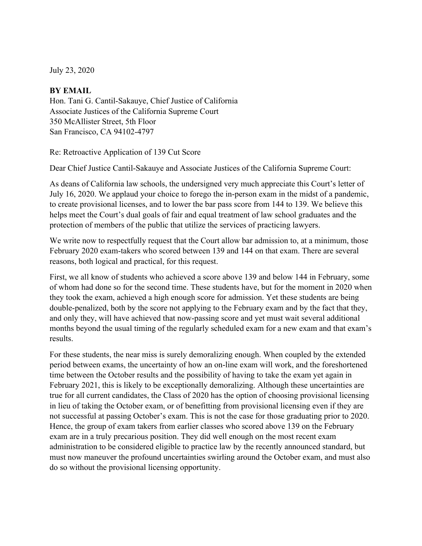July 23, 2020

# **BY EMAIL**

Hon. Tani G. Cantil-Sakauye, Chief Justice of California Associate Justices of the California Supreme Court 350 McAllister Street, 5th Floor San Francisco, CA 94102-4797

Re: Retroactive Application of 139 Cut Score

Dear Chief Justice Cantil-Sakauye and Associate Justices of the California Supreme Court:

As deans of California law schools, the undersigned very much appreciate this Court's letter of July 16, 2020. We applaud your choice to forego the in-person exam in the midst of a pandemic, to create provisional licenses, and to lower the bar pass score from 144 to 139. We believe this helps meet the Court's dual goals of fair and equal treatment of law school graduates and the protection of members of the public that utilize the services of practicing lawyers.

We write now to respectfully request that the Court allow bar admission to, at a minimum, those February 2020 exam-takers who scored between 139 and 144 on that exam. There are several reasons, both logical and practical, for this request.

First, we all know of students who achieved a score above 139 and below 144 in February, some of whom had done so for the second time. These students have, but for the moment in 2020 when they took the exam, achieved a high enough score for admission. Yet these students are being double-penalized, both by the score not applying to the February exam and by the fact that they, and only they, will have achieved that now-passing score and yet must wait several additional months beyond the usual timing of the regularly scheduled exam for a new exam and that exam's results.

For these students, the near miss is surely demoralizing enough. When coupled by the extended period between exams, the uncertainty of how an on-line exam will work, and the foreshortened time between the October results and the possibility of having to take the exam yet again in February 2021, this is likely to be exceptionally demoralizing. Although these uncertainties are true for all current candidates, the Class of 2020 has the option of choosing provisional licensing in lieu of taking the October exam, or of benefitting from provisional licensing even if they are not successful at passing October's exam. This is not the case for those graduating prior to 2020. Hence, the group of exam takers from earlier classes who scored above 139 on the February exam are in a truly precarious position. They did well enough on the most recent exam administration to be considered eligible to practice law by the recently announced standard, but must now maneuver the profound uncertainties swirling around the October exam, and must also do so without the provisional licensing opportunity.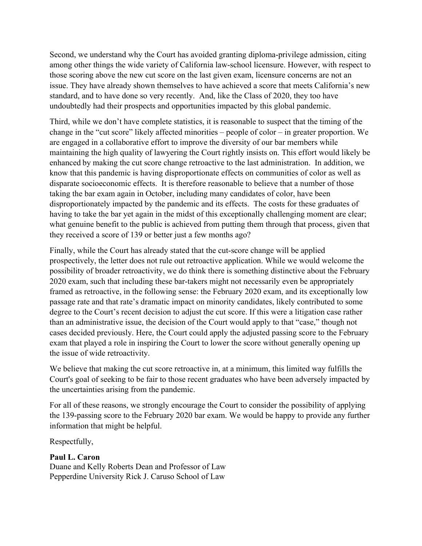Second, we understand why the Court has avoided granting diploma-privilege admission, citing among other things the wide variety of California law-school licensure. However, with respect to those scoring above the new cut score on the last given exam, licensure concerns are not an issue. They have already shown themselves to have achieved a score that meets California's new standard, and to have done so very recently. And, like the Class of 2020, they too have undoubtedly had their prospects and opportunities impacted by this global pandemic.

Third, while we don't have complete statistics, it is reasonable to suspect that the timing of the change in the "cut score" likely affected minorities – people of color – in greater proportion. We are engaged in a collaborative effort to improve the diversity of our bar members while maintaining the high quality of lawyering the Court rightly insists on. This effort would likely be enhanced by making the cut score change retroactive to the last administration. In addition, we know that this pandemic is having disproportionate effects on communities of color as well as disparate socioeconomic effects. It is therefore reasonable to believe that a number of those taking the bar exam again in October, including many candidates of color, have been disproportionately impacted by the pandemic and its effects. The costs for these graduates of having to take the bar yet again in the midst of this exceptionally challenging moment are clear; what genuine benefit to the public is achieved from putting them through that process, given that they received a score of 139 or better just a few months ago?

Finally, while the Court has already stated that the cut-score change will be applied prospectively, the letter does not rule out retroactive application. While we would welcome the possibility of broader retroactivity, we do think there is something distinctive about the February 2020 exam, such that including these bar-takers might not necessarily even be appropriately framed as retroactive, in the following sense: the February 2020 exam, and its exceptionally low passage rate and that rate's dramatic impact on minority candidates, likely contributed to some degree to the Court's recent decision to adjust the cut score. If this were a litigation case rather than an administrative issue, the decision of the Court would apply to that "case," though not cases decided previously. Here, the Court could apply the adjusted passing score to the February exam that played a role in inspiring the Court to lower the score without generally opening up the issue of wide retroactivity.

We believe that making the cut score retroactive in, at a minimum, this limited way fulfills the Court's goal of seeking to be fair to those recent graduates who have been adversely impacted by the uncertainties arising from the pandemic.

For all of these reasons, we strongly encourage the Court to consider the possibility of applying the 139-passing score to the February 2020 bar exam. We would be happy to provide any further information that might be helpful.

Respectfully,

# **Paul L. Caron**

Duane and Kelly Roberts Dean and Professor of Law Pepperdine University Rick J. Caruso School of Law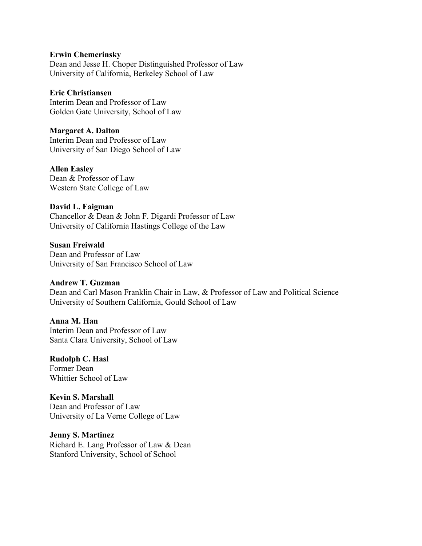#### **Erwin Chemerinsky**

Dean and Jesse H. Choper Distinguished Professor of Law University of California, Berkeley School of Law

### **Eric Christiansen**

Interim Dean and Professor of Law Golden Gate University, School of Law

# **Margaret A. Dalton**

Interim Dean and Professor of Law University of San Diego School of Law

### **Allen Easley**

Dean & Professor of Law Western State College of Law

#### **David L. Faigman**

Chancellor & Dean & John F. Digardi Professor of Law University of California Hastings College of the Law

# **Susan Freiwald**

Dean and Professor of Law University of San Francisco School of Law

#### **Andrew T. Guzman**

Dean and Carl Mason Franklin Chair in Law, & Professor of Law and Political Science University of Southern California, Gould School of Law

#### **Anna M. Han**

Interim Dean and Professor of Law Santa Clara University, School of Law

#### **Rudolph C. Hasl**  Former Dean

Whittier School of Law

# **Kevin S. Marshall**

Dean and Professor of Law University of La Verne College of Law

### **Jenny S. Martinez**  Richard E. Lang Professor of Law & Dean Stanford University, School of School